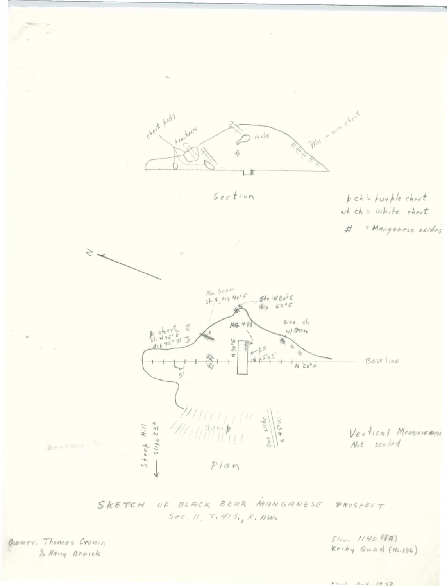

Section

pch = purple chert wh  $ch = white$  ehert

= Manganese oxides #



SKETCH OF BLACK BEAR MANGANESE  $PROSPECT$  $Sec. N, T. 415, R. 1100$ 

Owner: Thomas Cronin To Harry Benick

 $Elev, 11401 (R)$ Kerby Quad (No.186)